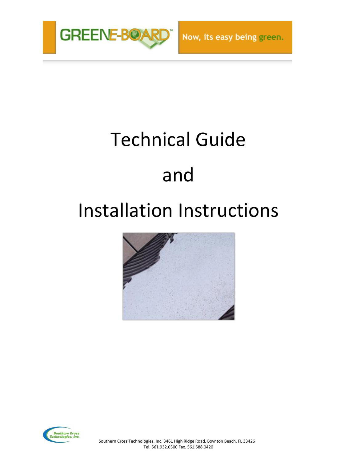

# Technical Guide and

# Installation Instructions



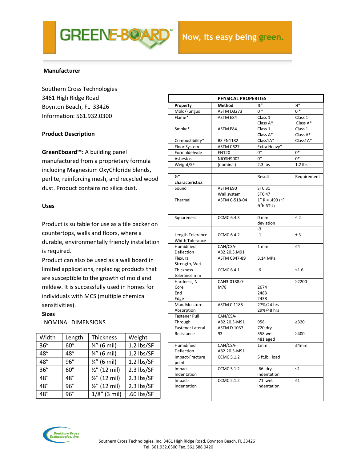

#### **Manufacturer**

Southern Cross Technologies 3461 High Ridge Road Boynton Beach, FL 33426 Information: 561.932.0300

#### **Product Description**

**GreenEboard™:** A building panel

manufactured from a proprietary formula including Magnesium OxyChloride blends, perlite, reinforcing mesh, and recycled wood dust. Product contains no silica dust.

#### **Uses**

Product is suitable for use as a tile backer on countertops, walls and floors, where a durable, environmentally friendly installation is required.

Product can also be used as a wall board in limited applications, replacing products that are susceptible to the growth of mold and mildew. It is successfully used in homes for individuals with MCS (multiple chemical sensitivities).

#### **Sizes**

Nominal dimensions NOMINAL DIMENSIONS

| Width | Length | <b>Thickness</b>         | Weight     |
|-------|--------|--------------------------|------------|
| 36''  | 60''   | $\frac{1}{4}$ " (6 mil)  | 1.2 lbs/SF |
| 48"   | 48"    | $\frac{1}{4}$ " (6 mil)  | 1.2 lbs/SF |
| 48"   | 96''   | $\frac{1}{4}$ " (6 mil)  | 1.2 lbs/SF |
| 36''  | 60''   | $\frac{1}{2}$ " (12 mil) | 2.3 lbs/SF |
| 48"   | 48"    | $\frac{1}{2}$ " (12 mil) | 2.3 lbs/SF |
| 48"   | 96"    | $\frac{1}{2}$ " (12 mil) | 2.3 lbs/SF |
| 48"   | 96''   | $1/8''$ (3 mil)          | .60 lbs/SF |

| PHYSICAL PROPERTIES                |                          |                        |               |  |  |  |
|------------------------------------|--------------------------|------------------------|---------------|--|--|--|
| Property                           | Method                   | $\frac{1}{2}$          | $\frac{1}{4}$ |  |  |  |
| Mold/Fungus                        | <b>ASTM D3273</b>        | $0*$                   | $0*$          |  |  |  |
| Flame*                             | <b>ASTM E84</b>          | Class 1                | Class 1       |  |  |  |
|                                    |                          | Class A*               | Class A*      |  |  |  |
| Smoke*                             | <b>ASTM E84</b>          | Class 1                | Class 1       |  |  |  |
|                                    |                          | Class A*               | Class A*      |  |  |  |
| Combustibility*                    | <b>BS EN1182</b>         | $Class1A*$             | $Class1A*$    |  |  |  |
| Floor System                       | ASTM C627                | Extra Heavy*           |               |  |  |  |
| Formaldehyde                       | EN120                    | $0*$                   | $0*$          |  |  |  |
| Asbestos                           | <b>NIOSH9002</b>         | $0*$                   | $0*$          |  |  |  |
| Weight/SF                          | (nominal)                | $2.3$ lbs              | $1.2$ lbs     |  |  |  |
|                                    |                          |                        |               |  |  |  |
| $\overline{y''}$                   |                          | Result                 | Requirement   |  |  |  |
| characteristics                    |                          |                        |               |  |  |  |
| Sound                              | ASTM E90                 | <b>STC 31</b>          |               |  |  |  |
|                                    | Wall system              | <b>STC 47</b>          |               |  |  |  |
| Thermal                            | ASTM C-518-04            | $1'' R = .493 (°F)$    |               |  |  |  |
|                                    |                          | ft <sup>2</sup> h.BTU) |               |  |  |  |
|                                    |                          |                        |               |  |  |  |
| Squareness                         | <b>CCMC 6.4.3</b>        | 0 <sub>mm</sub>        | $\leq$ 2      |  |  |  |
|                                    |                          | deviation              |               |  |  |  |
|                                    |                          | $-3$                   |               |  |  |  |
| Length Tolerance                   | <b>CCMC 6.4.2</b>        | $-1$                   | ± 3           |  |  |  |
| <b>Width Tolerance</b>             |                          |                        |               |  |  |  |
| Humidified                         | CAN/CSA-                 | 1 mm                   | $\leq 4$      |  |  |  |
| Deflection                         | A82.20.3.M91             |                        |               |  |  |  |
| Flexural                           | <b>ASTM C947-89</b>      | 3.14 MPa               |               |  |  |  |
| Strength, Wet                      |                          |                        |               |  |  |  |
| <b>Thickness</b>                   | <b>CCMC 6.4.1</b>        | .6                     | $\leq 1.6$    |  |  |  |
| tolerance mm                       |                          |                        |               |  |  |  |
| Hardness, N                        | CAN3-0188.0-             |                        | ≥2200         |  |  |  |
| Core                               | M78                      | 2674                   |               |  |  |  |
| End                                |                          | 2483                   |               |  |  |  |
| Edge                               |                          | 2438                   |               |  |  |  |
| Max. Moisture                      | <b>ASTM C 1185</b>       | 27%/24 hrs             |               |  |  |  |
| Absorption                         |                          | 29%/48 hrs             |               |  |  |  |
| <b>Fastener Pull</b>               | CAN/CSA-<br>A82.20.3-M91 |                        |               |  |  |  |
| Through<br><b>Fastener Lateral</b> | <b>ASTM D 1037-</b>      | 958<br>720 dry         | $\geq$ 320    |  |  |  |
| Resistance                         | 93                       | 558 wet                |               |  |  |  |
|                                    |                          | 481 aged               | ≥400          |  |  |  |
| Humidified                         | CAN/CSA-                 | 1 <sub>mm</sub>        | ≤4mm          |  |  |  |
| Deflection                         | A82.20.3-M91             |                        |               |  |  |  |
| Impact-Fracture                    | <b>CCMC 5.1.2</b>        | 5 ft.lb. load          |               |  |  |  |
| point                              |                          |                        |               |  |  |  |
| Impact-                            | <b>CCMC 5.1.2</b>        | .66 dry                | $\leq 1$      |  |  |  |
| Indentation                        |                          | indentation            |               |  |  |  |
| Impact-                            | <b>CCMC 5.1.2</b>        | .71 wet                | $\leq 1$      |  |  |  |
| Indentation                        |                          | indentation            |               |  |  |  |
|                                    |                          |                        |               |  |  |  |
|                                    |                          |                        |               |  |  |  |

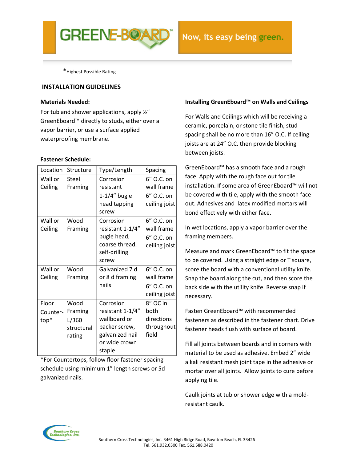

\*Highest Possible Rating

#### **INSTALLATION GUIDELINES**

#### **Materials Needed:**

For tub and shower applications, apply  $\frac{1}{2}$ " GreenEboard™ directly to studs, either over a vapor barrier, or use a surface applied waterproofing membrane.

#### **Fastener Schedule:**

| Location                  | Structure                                        | Type/Length                                                                                                  | Spacing                                                 |
|---------------------------|--------------------------------------------------|--------------------------------------------------------------------------------------------------------------|---------------------------------------------------------|
| Wall or<br>Ceiling        | Steel<br>Framing                                 | Corrosion<br>resistant                                                                                       | 6" O.C. on<br>wall frame                                |
|                           |                                                  | $1-1/4$ " bugle<br>head tapping<br>screw                                                                     | 6" O.C. on<br>ceiling joist                             |
| Wall or<br>Ceiling        | Wood<br>Framing                                  | Corrosion<br>resistant 1-1/4"<br>bugle head,<br>coarse thread,<br>self-drilling<br>screw                     | 6" O.C. on<br>wall frame<br>6" O.C. on<br>ceiling joist |
| Wall or<br>Ceiling        | Wood<br>Framing                                  | Galvanized 7 d<br>or 8 d framing<br>nails                                                                    | 6" O.C. on<br>wall frame<br>6" O.C. on<br>ceiling joist |
| Floor<br>Counter-<br>top* | Wood<br>Framing<br>L/360<br>structural<br>rating | Corrosion<br>resistant 1-1/4"<br>wallboard or<br>backer screw,<br>galvanized nail<br>or wide crown<br>staple | 8" OC in<br>both<br>directions<br>throughout<br>field   |

\*For Countertops, follow floor fastener spacing schedule using minimum 1" length screws or 5d galvanized nails.

#### **Installing GreenEboard™ on Walls and Ceilings**

For Walls and Ceilings which will be receiving a ceramic, porcelain, or stone tile finish, stud spacing shall be no more than 16" O.C. If ceiling joists are at 24" O.C. then provide blocking between joists.

GreenEboard™ has a smooth face and a rough face. Apply with the rough face out for tile installation. If some area of GreenEboard™ will not be covered with tile, apply with the smooth face out. Adhesives and latex modified mortars will bond effectively with either face.

In wet locations, apply a vapor barrier over the framing members.

Measure and mark GreenEboard™ to fit the space to be covered. Using a straight edge or T square, score the board with a conventional utility knife. Snap the board along the cut, and then score the back side with the utility knife. Reverse snap if necessary.

Fasten GreenEboard™ with recommended fasteners as described in the fastener chart. Drive fastener heads flush with surface of board.

Fill all joints between boards and in corners with material to be used as adhesive. Embed 2" wide alkali resistant mesh joint tape in the adhesive or mortar over all joints. Allow joints to cure before applying tile.

Caulk joints at tub or shower edge with a moldresistant caulk.

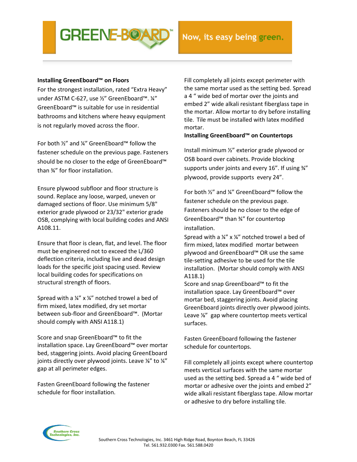### **Installing GreenEboard™ on Floors**

For the strongest installation, rated "Extra Heavy" under ASTM C-627, use ½" GreenEboard™. ¼" GreenEboard™ is suitable for use in residential bathrooms and kitchens where heavy equipment is not regularly moved across the floor.

For both ½" and ¼" GreenEboard™ follow the fastener schedule on the previous page. Fasteners should be no closer to the edge of GreenEboard™ than ¾" for floor installation.

Ensure plywood subfloor and floor structure is sound. Replace any loose, warped, uneven or damaged sections of floor. Use minimum 5/8" exterior grade plywood or 23/32" exterior grade OSB, complying with local building codes and ANSI A108.11.

Ensure that floor is clean, flat, and level. The floor must be engineered not to exceed the L/360 deflection criteria, including live and dead design loads for the specific joist spacing used. Review local building codes for specifications on structural strength of floors.

Spread with a ¼" x ¼" notched trowel a bed of firm mixed, latex modified, dry set mortar between sub-floor and GreenEboard™. (Mortar should comply with ANSI A118.1)

Score and snap GreenEboard™ to fit the installation space. Lay GreenEboard™ over mortar bed, staggering joints. Avoid placing GreenEboard joints directly over plywood joints. Leave 1/4" to 1/4" gap at all perimeter edges.

Fasten GreenEboard following the fastener schedule for floor installation.

Fill completely all joints except perimeter with the same mortar used as the setting bed. Spread a 4 " wide bed of mortar over the joints and embed 2" wide alkali resistant fiberglass tape in the mortar. Allow mortar to dry before installing tile. Tile must be installed with latex modified mortar.

#### **Installing GreenEboard™ on Countertops**

Install minimum ½" exterior grade plywood or OSB board over cabinets. Provide blocking supports under joints and every 16". If using ¾" plywood, provide supports every 24".

For both ½" and ¼" GreenEboard™ follow the fastener schedule on the previous page. Fasteners should be no closer to the edge of GreenEboard™ than ¾" for countertop installation.

Spread with a  $\frac{1}{4}$ " x  $\frac{1}{4}$ " notched trowel a bed of firm mixed, latex modified mortar between plywood and GreenEboard™ OR use the same tile-setting adhesive to be used for the tile installation. (Mortar should comply with ANSI A118.1)

Score and snap GreenEboard™ to fit the installation space. Lay GreenEboard™ over mortar bed, staggering joints. Avoid placing GreenEboard joints directly over plywood joints. Leave <sup>1/2</sup> gap where countertop meets vertical surfaces.

Fasten GreenEboard following the fastener schedule for countertops.

Fill completely all joints except where countertop meets vertical surfaces with the same mortar used as the setting bed. Spread a 4 " wide bed of mortar or adhesive over the joints and embed 2" wide alkali resistant fiberglass tape. Allow mortar or adhesive to dry before installing tile.

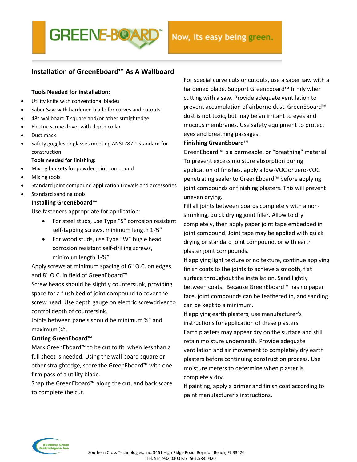

# **Installation of GreenEboard™ As A Wallboard**

#### **Tools Needed for installation:**

- Utility knife with conventional blades
- Saber Saw with hardened blade for curves and cutouts
- 48" wallboard T square and/or other straightedge
- Electric screw driver with depth collar
- Dust mask
- Safety goggles or glasses meeting ANSI Z87.1 standard for construction

#### **Tools needed for finishing:**

- Mixing buckets for powder joint compound
- Mixing tools
- Standard joint compound application trowels and accessories
- Standard sanding tools

#### **Installing GreenEboard™**

Use fasteners appropriate for application:

- For steel studs, use Type "S" corrosion resistant self-tapping screws, minimum length 1-¼"
- For wood studs, use Type "W" bugle head corrosion resistant self-drilling screws, minimum length 1-⅝"

Apply screws at minimum spacing of 6" O.C. on edges and 8" O.C. in field of GreenEboard™

Screw heads should be slightly countersunk, providing space for a flush bed of joint compound to cover the screw head. Use depth gauge on electric screwdriver to control depth of countersink.

Joints between panels should be minimum ⅛" and maximum ¼".

#### **Cutting GreenEboard™**

Mark GreenEboard™ to be cut to fit when less than a full sheet is needed. Using the wall board square or other straightedge, score the GreenEboard™ with one firm pass of a utility blade.

Snap the GreenEboard™ along the cut, and back score to complete the cut.

For special curve cuts or cutouts, use a saber saw with a hardened blade. Support GreenEboard™ firmly when cutting with a saw. Provide adequate ventilation to prevent accumulation of airborne dust. GreenEboard™ dust is not toxic, but may be an irritant to eyes and mucous membranes. Use safety equipment to protect eyes and breathing passages.

#### **Finishing GreenEboard™**

GreenEboard™ is a permeable, or "breathing" material. To prevent excess moisture absorption during application of finishes, apply a low-VOC or zero-VOC penetrating sealer to GreenEboard™ before applying joint compounds or finishing plasters. This will prevent uneven drying.

Fill all joints between boards completely with a nonshrinking, quick drying joint filler. Allow to dry completely, then apply paper joint tape embedded in joint compound. Joint tape may be applied with quick drying or standard joint compound, or with earth plaster joint compounds.

If applying light texture or no texture, continue applying finish coats to the joints to achieve a smooth, flat surface throughout the installation. Sand lightly between coats. Because GreenEboard™ has no paper face, joint compounds can be feathered in, and sanding can be kept to a minimum.

If applying earth plasters, use manufacturer's instructions for application of these plasters. Earth plasters may appear dry on the surface and still retain moisture underneath. Provide adequate ventilation and air movement to completely dry earth plasters before continuing construction process. Use moisture meters to determine when plaster is completely dry.

If painting, apply a primer and finish coat according to paint manufacturer's instructions.

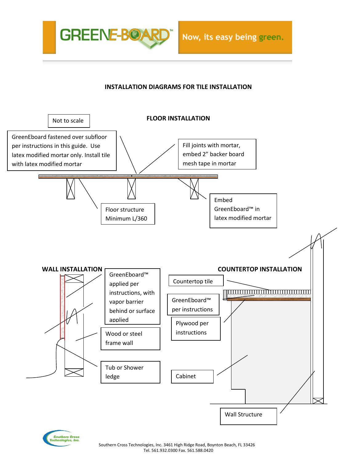

# **INSTALLATION DIAGRAMS FOR TILE INSTALLATION**